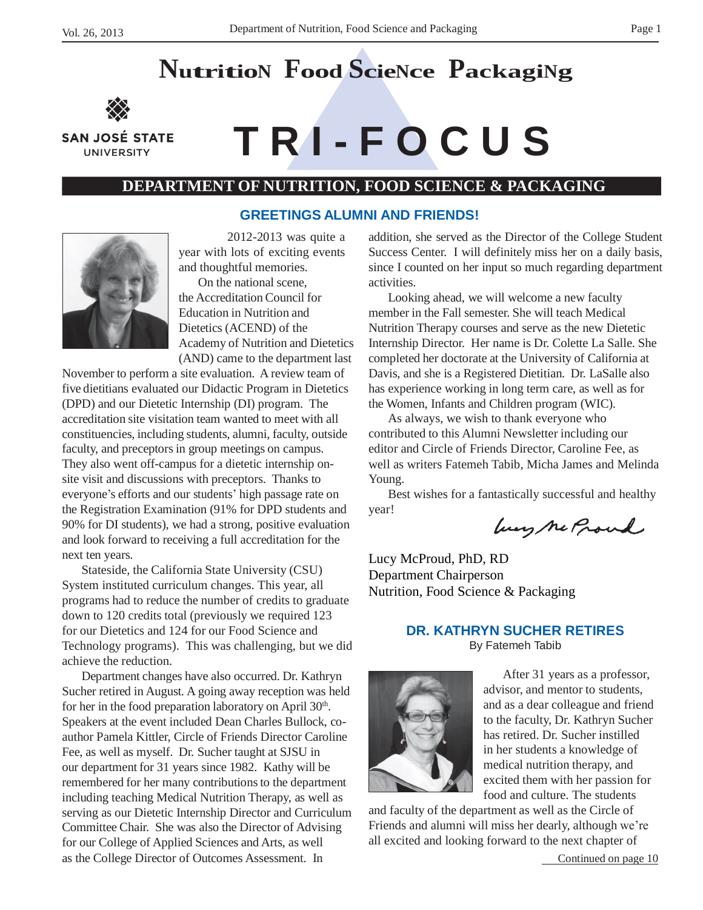# **NutritioN <sup>F</sup>ood ScieNce <sup>P</sup>ackagiNg**



**UNIVERSITY** 

# **SAN JOSÉ STATE**  $\blacksquare$  **T R I** - **F O C U S**

# **DEPARTMENT OF NUTRITION, FOOD SCIENCE & PACKAGING**

#### **GREETINGS ALUMNI AND FRIENDS!**



2012-2013 was quite a year with lots of exciting events and thoughtful memories.

On the national scene, the Accreditation Council for Education in Nutrition and Dietetics (ACEND) of the Academy of Nutrition and Dietetics (AND) came to the department last

November to perform a site evaluation. A review team of five dietitians evaluated our Didactic Program in Dietetics (DPD) and our Dietetic Internship (DI) program. The accreditation site visitation team wanted to meet with all constituencies, including students, alumni, faculty, outside faculty, and preceptors in group meetings on campus. They also went off-campus for a dietetic internship onsite visit and discussions with preceptors. Thanks to everyone's efforts and our students' high passage rate on the Registration Examination (91% for DPD students and 90% for DI students), we had a strong, positive evaluation and look forward to receiving a full accreditation for the next ten years.

Stateside, the California State University (CSU) System instituted curriculum changes. This year, all programs had to reduce the number of credits to graduate down to 120 credits total (previously we required 123 for our Dietetics and 124 for our Food Science and Technology programs). This was challenging, but we did achieve the reduction.

Department changes have also occurred. Dr. Kathryn Sucher retired in August. A going away reception was held for her in the food preparation laboratory on April 30<sup>th</sup>. Speakers at the event included Dean Charles Bullock, coauthor Pamela Kittler, Circle of Friends Director Caroline Fee, as well as myself. Dr. Sucher taught at SJSU in our department for 31 years since 1982. Kathy will be remembered for her many contributions to the department including teaching Medical Nutrition Therapy, as well as serving as our Dietetic Internship Director and Curriculum Committee Chair. She was also the Director of Advising for our College of Applied Sciences and Arts, as well as the College Director of Outcomes Assessment. In

addition, she served as the Director of the College Student Success Center. I will definitely miss her on a daily basis, since I counted on her input so much regarding department activities.

Looking ahead, we will welcome a new faculty member in the Fall semester. She will teach Medical Nutrition Therapy courses and serve as the new Dietetic Internship Director. Her name is Dr. Colette La Salle. She completed her doctorate at the University of California at Davis, and she is a Registered Dietitian. Dr. LaSalle also has experience working in long term care, as well as for the Women, Infants and Children program (WIC).

As always, we wish to thank everyone who contributed to this Alumni Newsletter including our editor and Circle of Friends Director, Caroline Fee, as well as writers Fatemeh Tabib, Micha James and Melinda Young.

Best wishes for a fantastically successful and healthy year!

lung ne Proud

Lucy McProud, PhD, RD Department Chairperson Nutrition, Food Science & Packaging

# **DR. KATHRYN SUCHER RETIRES**

By Fatemeh Tabib



After 31 years as a professor, advisor, and mentor to students, and as a dear colleague and friend to the faculty, Dr. Kathryn Sucher has retired. Dr. Sucher instilled in her students a knowledge of medical nutrition therapy, and excited them with her passion for food and culture. The students

and faculty of the department as well as the Circle of Friends and alumni will miss her dearly, although we're all excited and looking forward to the next chapter of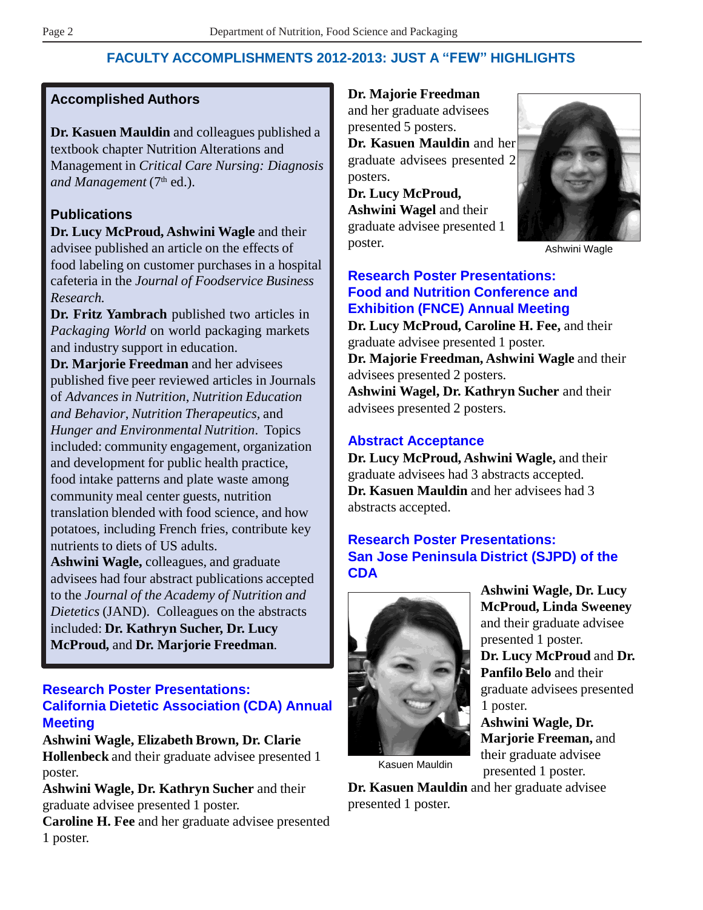# **FACULTY ACCOMPLISHMENTS 2012-2013: JUST A "FEW" HIGHLIGHTS**

# **Accomplished Authors**

**Dr. Kasuen Mauldin** and colleagues published a textbook chapter Nutrition Alterations and Management in *Critical Care Nursing: Diagnosis*  and Management (7<sup>th</sup> ed.).

# **Publications**

**Dr. Lucy McProud, Ashwini Wagle** and their advisee published an article on the effects of food labeling on customer purchases in a hospital cafeteria in the *Journal of Foodservice Business Research.*

**Dr. Fritz Yambrach** published two articles in *Packaging World* on world packaging markets and industry support in education.

**Dr. Marjorie Freedman** and her advisees published five peer reviewed articles in Journals of *Advances in Nutrition*, *Nutrition Education and Behavior*, *Nutrition Therapeutics,* and *Hunger and Environmental Nutrition*. Topics included: community engagement, organization and development for public health practice, food intake patterns and plate waste among community meal center guests, nutrition translation blended with food science, and how potatoes, including French fries, contribute key nutrients to diets of US adults.

**Ashwini Wagle,** colleagues, and graduate advisees had four abstract publications accepted to the *Journal of the Academy of Nutrition and Dietetics* (JAND). Colleagues on the abstracts included: **Dr. Kathryn Sucher, Dr. Lucy McProud,** and **Dr. Marjorie Freedman***.*

# **Research Poster Presentations: California Dietetic Association (CDA) Annual Meeting**

**Ashwini Wagle, Elizabeth Brown, Dr. Clarie Hollenbeck** and their graduate advisee presented 1 poster.

**Ashwini Wagle, Dr. Kathryn Sucher** and their graduate advisee presented 1 poster.

**Caroline H. Fee** and her graduate advisee presented 1 poster.

**Dr. Majorie Freedman**  and her graduate advisees

presented 5 posters. **Dr. Kasuen Mauldin** and her

graduate advisees presented 2 posters.

**Dr. Lucy McProud, Ashwini Wagel** and their graduate advisee presented 1 poster.



Ashwini Wagle

# **Research Poster Presentations: Food and Nutrition Conference and Exhibition (FNCE) Annual Meeting**

**Dr. Lucy McProud, Caroline H. Fee,** and their graduate advisee presented 1 poster. **Dr. Majorie Freedman, Ashwini Wagle** and their advisees presented 2 posters. **Ashwini Wagel, Dr. Kathryn Sucher** and their advisees presented 2 posters.

# **Abstract Acceptance**

**Dr. Lucy McProud, Ashwini Wagle,** and their graduate advisees had 3 abstracts accepted. **Dr. Kasuen Mauldin** and her advisees had 3 abstracts accepted.

# **Research Poster Presentations: San Jose Peninsula District (SJPD) of the CDA**



**Ashwini Wagle, Dr. Lucy McProud, Linda Sweeney**  and their graduate advisee presented 1 poster. **Dr. Lucy McProud** and **Dr.** 

**Panfilo Belo** and their graduate advisees presented 1 poster.

**Ashwini Wagle, Dr. Marjorie Freeman,** and their graduate advisee Kasuen Mauldin presented 1 poster.

**Dr. Kasuen Mauldin** and her graduate advisee presented 1 poster.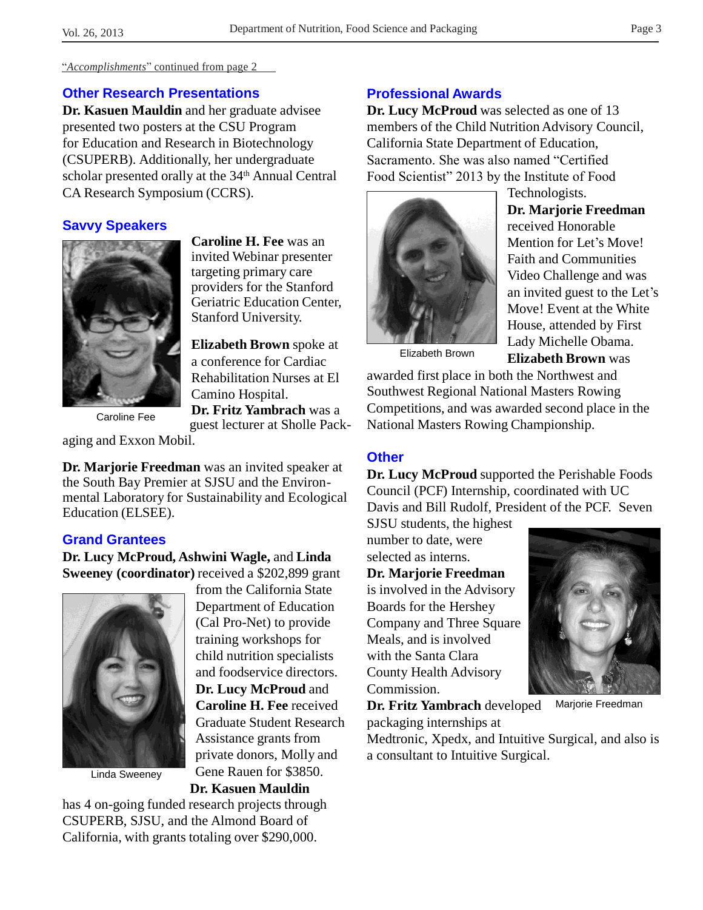"*Accomplishments*" continued from page 2

#### **Other Research Presentations**

**Dr. Kasuen Mauldin** and her graduate advisee presented two posters at the CSU Program for Education and Research in Biotechnology (CSUPERB). Additionally, her undergraduate scholar presented orally at the 34<sup>th</sup> Annual Central CA Research Symposium (CCRS).

# **Savvy Speakers**



**Caroline H. Fee** was an invited Webinar presenter targeting primary care providers for the Stanford Geriatric Education Center, Stanford University.

**Elizabeth Brown** spoke at a conference for Cardiac Rehabilitation Nurses at El Camino Hospital. **Dr. Fritz Yambrach** was a guest lecturer at Sholle Pack-

Caroline Fee

aging and Exxon Mobil.

**Dr. Marjorie Freedman** was an invited speaker at the South Bay Premier at SJSU and the Environmental Laboratory for Sustainability and Ecological Education (ELSEE).

# **Grand Grantees**

**Dr. Lucy McProud, Ashwini Wagle,** and **Linda Sweeney (coordinator)** received a \$202,899 grant



Linda Sweeney

from the California State Department of Education (Cal Pro-Net) to provide training workshops for child nutrition specialists and foodservice directors. **Dr. Lucy McProud** and **Caroline H. Fee** received Graduate Student Research Assistance grants from private donors, Molly and Gene Rauen for \$3850.

**Dr. Kasuen Mauldin**

has 4 on-going funded research projects through CSUPERB, SJSU, and the Almond Board of California, with grants totaling over \$290,000.

# **Professional Awards**

**Dr. Lucy McProud** was selected as one of 13 members of the Child Nutrition Advisory Council, California State Department of Education, Sacramento. She was also named "Certified Food Scientist" 2013 by the Institute of Food



Technologists. **Dr. Marjorie Freedman**  received Honorable Mention for Let's Move! Faith and Communities Video Challenge and was an invited guest to the Let's Move! Event at the White House, attended by First Lady Michelle Obama. Elizabeth Brown **Elizabeth Brown** was

awarded first place in both the Northwest and Southwest Regional National Masters Rowing Competitions, and was awarded second place in the National Masters Rowing Championship.

# **Other**

**Dr. Lucy McProud** supported the Perishable Foods Council (PCF) Internship, coordinated with UC Davis and Bill Rudolf, President of the PCF. Seven

SJSU students, the highest number to date, were selected as interns.

#### **Dr. Marjorie Freedman**

is involved in the Advisory Boards for the Hershey Company and Three Square Meals, and is involved with the Santa Clara County Health Advisory Commission.



**Dr. Fritz Yambrach** developed

Marjorie Freedman

packaging internships at Medtronic, Xpedx, and Intuitive Surgical, and also is a consultant to Intuitive Surgical.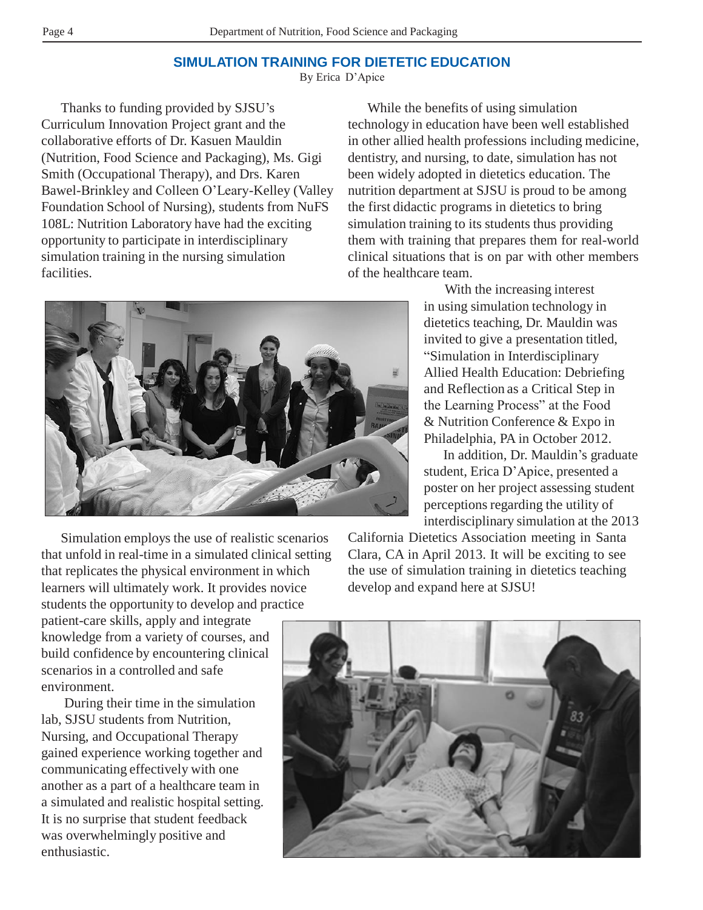# **SIMULATION TRAINING FOR DIETETIC EDUCATION**

By Erica D'Apice

Thanks to funding provided by SJSU's Curriculum Innovation Project grant and the collaborative efforts of Dr. Kasuen Mauldin (Nutrition, Food Science and Packaging), Ms. Gigi Smith (Occupational Therapy), and Drs. Karen Bawel-Brinkley and Colleen O'Leary-Kelley (Valley Foundation School of Nursing), students from NuFS 108L: Nutrition Laboratory have had the exciting opportunity to participate in interdisciplinary simulation training in the nursing simulation facilities.

While the benefits of using simulation technology in education have been well established in other allied health professions including medicine, dentistry, and nursing, to date, simulation has not been widely adopted in dietetics education. The nutrition department at SJSU is proud to be among the first didactic programs in dietetics to bring simulation training to its students thus providing them with training that prepares them for real-world clinical situations that is on par with other members of the healthcare team.



With the increasing interest in using simulation technology in dietetics teaching, Dr. Mauldin was invited to give a presentation titled, "Simulation in Interdisciplinary Allied Health Education: Debriefing and Reflection as a Critical Step in the Learning Process" at the Food & Nutrition Conference & Expo in Philadelphia, PA in October 2012.

In addition, Dr. Mauldin's graduate student, Erica D'Apice, presented a poster on her project assessing student perceptions regarding the utility of interdisciplinary simulation at the 2013

Simulation employs the use of realistic scenarios that unfold in real-time in a simulated clinical setting that replicates the physical environment in which learners will ultimately work. It provides novice students the opportunity to develop and practice

patient-care skills, apply and integrate knowledge from a variety of courses, and build confidence by encountering clinical scenarios in a controlled and safe environment.

During their time in the simulation lab, SJSU students from Nutrition, Nursing, and Occupational Therapy gained experience working together and communicating effectively with one another as a part of a healthcare team in a simulated and realistic hospital setting. It is no surprise that student feedback was overwhelmingly positive and enthusiastic.

California Dietetics Association meeting in Santa Clara, CA in April 2013. It will be exciting to see the use of simulation training in dietetics teaching develop and expand here at SJSU!

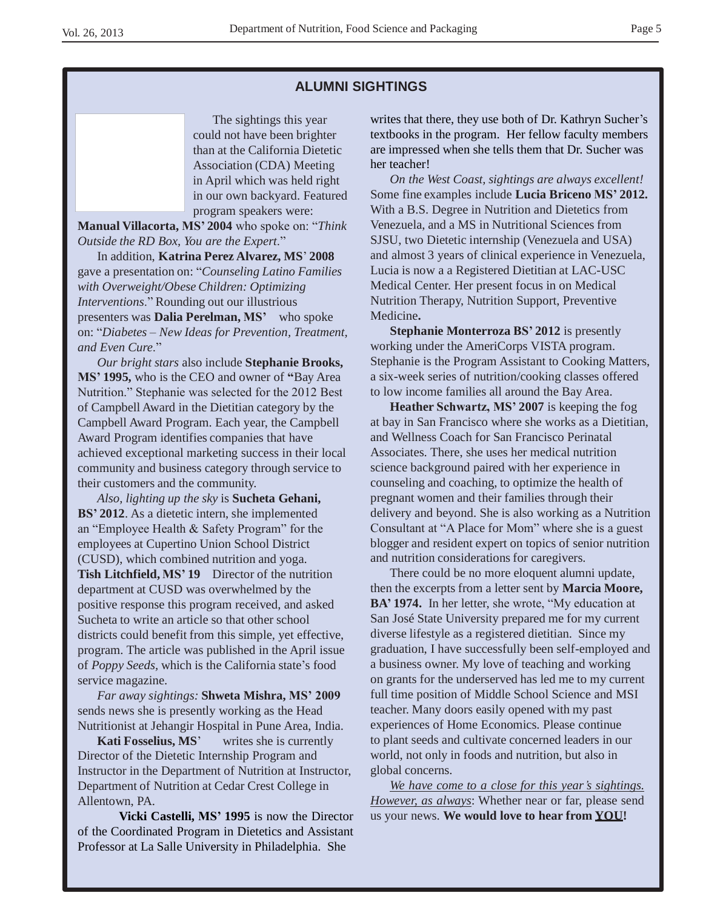#### **ALUMNI SIGHTINGS**

The sightings this year could not have been brighter than at the California Dietetic Association (CDA) Meeting in April which was held right in our own backyard. Featured program speakers were:

**Manual Villacorta, MS' 2004** who spoke on: "*Think Outside the RD Box, You are the Expert*."

In addition, **Katrina Perez Alvarez, MS**' **2008**  gave a presentation on: "*Counseling Latino Families with Overweight/Obese Children: Optimizing Interventions*." Rounding out our illustrious presenters was **Dalia Perelman, MS'** who spoke on: "*Diabetes – New Ideas for Prevention, Treatment, and Even Cure*."

*Our bright stars* also include **Stephanie Brooks, MS' 1995,** who is the CEO and owner of **"**Bay Area Nutrition." Stephanie was selected for the 2012 Best of Campbell Award in the Dietitian category by the Campbell Award Program. Each year, the Campbell Award Program identifies companies that have achieved exceptional marketing success in their local community and business category through service to their customers and the community.

*Also, lighting up the sky* is **Sucheta Gehani, BS' 2012**. As a dietetic intern, she implemented an "Employee Health & Safety Program" for the employees at Cupertino Union School District (CUSD), which combined nutrition and yoga. **Tish Litchfield, MS' 19** Director of the nutrition department at CUSD was overwhelmed by the positive response this program received, and asked Sucheta to write an article so that other school districts could benefit from this simple, yet effective, program. The article was published in the April issue of *Poppy Seeds,* which is the California state's food service magazine.

*Far away sightings:* **Shweta Mishra, MS' 2009**  sends news she is presently working as the Head Nutritionist at Jehangir Hospital in Pune Area, India.

**Kati Fosselius, MS**' writes she is currently Director of the Dietetic Internship Program and Instructor in the Department of Nutrition at Instructor, Department of Nutrition at Cedar Crest College in Allentown, PA.

**Vicki Castelli, MS' 1995** is now the Director of the Coordinated Program in Dietetics and Assistant Professor at La Salle University in Philadelphia. She

writes that there, they use both of Dr. Kathryn Sucher's textbooks in the program. Her fellow faculty members are impressed when she tells them that Dr. Sucher was her teacher!

*On the West Coast, sightings are always excellent!*  Some fine examples include **Lucia Briceno MS' 2012.**  With a B.S. Degree in Nutrition and Dietetics from Venezuela, and a MS in Nutritional Sciences from SJSU, two Dietetic internship (Venezuela and USA) and almost 3 years of clinical experience in Venezuela, Lucia is now a a Registered Dietitian at LAC-USC Medical Center. Her present focus in on Medical Nutrition Therapy, Nutrition Support, Preventive Medicine**.**

**Stephanie Monterroza BS' 2012** is presently working under the AmeriCorps VISTA program. Stephanie is the Program Assistant to Cooking Matters, a six-week series of nutrition/cooking classes offered to low income families all around the Bay Area.

**Heather Schwartz, MS' 2007** is keeping the fog at bay in San Francisco where she works as a Dietitian, and Wellness Coach for San Francisco Perinatal Associates. There, she uses her medical nutrition science background paired with her experience in counseling and coaching, to optimize the health of pregnant women and their families through their delivery and beyond. She is also working as a Nutrition Consultant at "A Place for Mom" where she is a guest blogger and resident expert on topics of senior nutrition and nutrition considerations for caregivers.

There could be no more eloquent alumni update, then the excerpts from a letter sent by **Marcia Moore, BA' 1974.** In her letter, she wrote, "My education at San José State University prepared me for my current diverse lifestyle as a registered dietitian. Since my graduation, I have successfully been self-employed and a business owner. My love of teaching and working on grants for the underserved has led me to my current full time position of Middle School Science and MSI teacher. Many doors easily opened with my past experiences of Home Economics. Please continue to plant seeds and cultivate concerned leaders in our world, not only in foods and nutrition, but also in global concerns.

*We have come to a close for this year's sightings. However, as always*: Whether near or far, please send us your news. **We would love to hear from YOU!**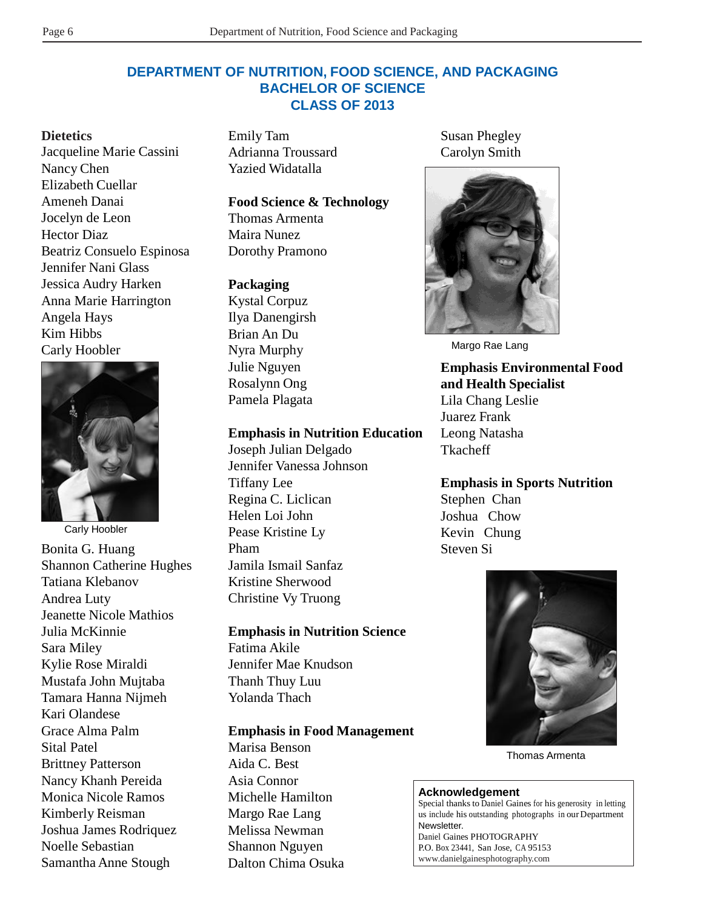# **DEPARTMENT OF NUTRITION, FOOD SCIENCE, AND PACKAGING BACHELOR OF SCIENCE CLASS OF 2013**

#### **Dietetics**

Jacqueline Marie Cassini Nancy Chen Elizabeth Cuellar Ameneh Danai Jocelyn de Leon Hector Diaz Beatriz Consuelo Espinosa Jennifer Nani Glass Jessica Audry Harken Anna Marie Harrington Angela Hays Kim Hibbs Carly Hoobler



Carly Hoobler Bonita G. Huang Shannon Catherine Hughes Tatiana Klebanov Andrea Luty Jeanette Nicole Mathios Julia McKinnie Sara Miley Kylie Rose Miraldi Mustafa John Mujtaba Tamara Hanna Nijmeh Kari Olandese Grace Alma Palm Sital Patel Brittney Patterson Nancy Khanh Pereida Monica Nicole Ramos Kimberly Reisman Joshua James Rodriquez Noelle Sebastian Samantha Anne Stough

Emily Tam Adrianna Troussard Yazied Widatalla

#### **Food Science & Technology**

Thomas Armenta Maira Nunez Dorothy Pramono

#### **Packaging**

Kystal Corpuz Ilya Danengirsh Brian An Du Nyra Murphy Julie Nguyen Rosalynn Ong Pamela Plagata

#### **Emphasis in Nutrition Education**

Joseph Julian Delgado Jennifer Vanessa Johnson Tiffany Lee Regina C. Liclican Helen Loi John Pease Kristine Ly Pham Jamila Ismail Sanfaz Kristine Sherwood Christine Vy Truong

#### **Emphasis in Nutrition Science**

Fatima Akile Jennifer Mae Knudson Thanh Thuy Luu Yolanda Thach

#### **Emphasis in Food Management**

Marisa Benson Aida C. Best Asia Connor Michelle Hamilton Margo Rae Lang Melissa Newman Shannon Nguyen Dalton Chima Osuka Susan Phegley Carolyn Smith



Margo Rae Lang

**Emphasis Environmental Food and Health Specialist** Lila Chang Leslie Juarez Frank Leong Natasha Tkacheff

**Emphasis in Sports Nutrition** Stephen Chan Joshua Chow Kevin Chung Steven Si



Thomas Armenta

#### **Acknowledgement**

Special thanks to Daniel Gaines for his generosity in letting us include his outstanding photographs in our Department Newsletter.

Daniel Gaines PHOTOGRAPHY P.O. Box 23441, San Jose, CA 95153 [www.danielgainesphotography.com](http://www.danielgainesphotography.com/)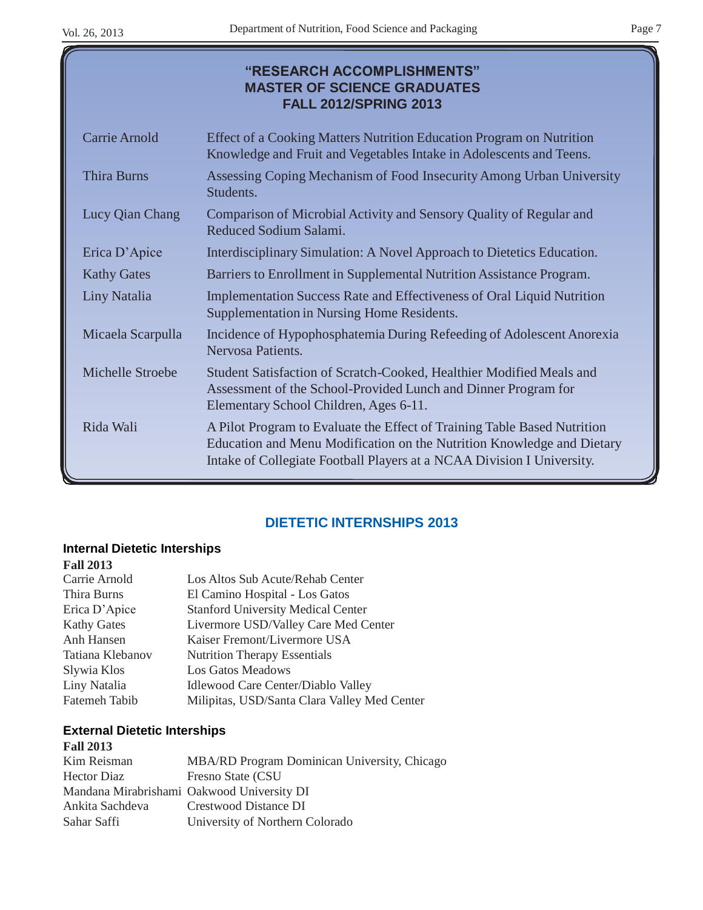# **"RESEARCH ACCOMPLISHMENTS" MASTER OF SCIENCE GRADUATES FALL 2012/SPRING 2013**

| Carrie Arnold       | Effect of a Cooking Matters Nutrition Education Program on Nutrition<br>Knowledge and Fruit and Vegetables Intake in Adolescents and Teens.                                                                                  |
|---------------------|------------------------------------------------------------------------------------------------------------------------------------------------------------------------------------------------------------------------------|
| <b>Thira Burns</b>  | Assessing Coping Mechanism of Food Insecurity Among Urban University<br>Students.                                                                                                                                            |
| Lucy Qian Chang     | Comparison of Microbial Activity and Sensory Quality of Regular and<br>Reduced Sodium Salami.                                                                                                                                |
| Erica D'Apice       | Interdisciplinary Simulation: A Novel Approach to Dietetics Education.                                                                                                                                                       |
| <b>Kathy Gates</b>  | Barriers to Enrollment in Supplemental Nutrition Assistance Program.                                                                                                                                                         |
| <b>Liny Natalia</b> | <b>Implementation Success Rate and Effectiveness of Oral Liquid Nutrition</b><br>Supplementation in Nursing Home Residents.                                                                                                  |
| Micaela Scarpulla   | Incidence of Hypophosphatemia During Refeeding of Adolescent Anorexia<br>Nervosa Patients.                                                                                                                                   |
| Michelle Stroebe    | Student Satisfaction of Scratch-Cooked, Healthier Modified Meals and<br>Assessment of the School-Provided Lunch and Dinner Program for<br>Elementary School Children, Ages 6-11.                                             |
| Rida Wali           | A Pilot Program to Evaluate the Effect of Training Table Based Nutrition<br>Education and Menu Modification on the Nutrition Knowledge and Dietary<br>Intake of Collegiate Football Players at a NCAA Division I University. |

# **DIETETIC INTERNSHIPS 2013**

# **Internal Dietetic Interships**

| <b>Fall 2013</b>   |                                              |
|--------------------|----------------------------------------------|
| Carrie Arnold      | Los Altos Sub Acute/Rehab Center             |
| Thira Burns        | El Camino Hospital - Los Gatos               |
| Erica D'Apice      | <b>Stanford University Medical Center</b>    |
| <b>Kathy Gates</b> | Livermore USD/Valley Care Med Center         |
| Anh Hansen         | Kaiser Fremont/Livermore USA                 |
| Tatiana Klebanov   | <b>Nutrition Therapy Essentials</b>          |
| Slywia Klos        | <b>Los Gatos Meadows</b>                     |
| Liny Natalia       | <b>Idlewood Care Center/Diablo Valley</b>    |
| Fatemeh Tabib      | Milipitas, USD/Santa Clara Valley Med Center |

#### **External Dietetic Interships Fall 2013**

| <b>Fall 2015</b>   |                                              |
|--------------------|----------------------------------------------|
| Kim Reisman        | MBA/RD Program Dominican University, Chicago |
| <b>Hector Diaz</b> | Fresno State (CSU)                           |
|                    | Mandana Mirabrishami Oakwood University DI   |
| Ankita Sachdeva    | Crestwood Distance DI                        |
| Sahar Saffi        | University of Northern Colorado              |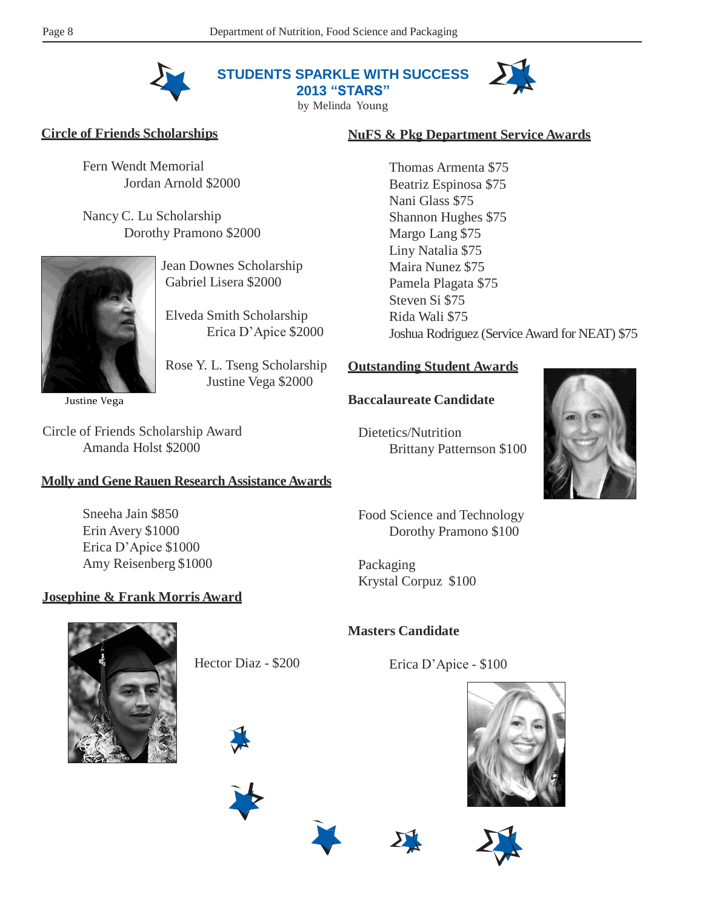

**STUDENTS SPARKLE WITH SUCCESS**

**2013 "STARS"** by Melinda Young



#### **Circle of Friends Scholarships**

Fern Wendt Memorial Jordan Arnold \$2000

Nancy C. Lu Scholarship Dorothy Pramono \$2000



Jean Downes Scholarship Gabriel Lisera \$2000

Elveda Smith Scholarship Erica D'Apice \$2000

Rose Y. L. Tseng Scholarship Justine Vega \$2000

Justine Vega

Circle of Friends Scholarship Award Amanda Holst \$2000

# **Molly and Gene Rauen Research Assistance Awards**

Sneeha Jain \$850 Erin Avery \$1000 Erica D'Apice \$1000 Amy Reisenberg \$1000

#### **Josephine & Frank Morris Award**

# **NuFS & Pkg Department Service Awards**

Thomas Armenta \$75 Beatriz Espinosa \$75 Nani Glass \$75 Shannon Hughes \$75 Margo Lang \$75 Liny Natalia \$75 Maira Nunez \$75 Pamela Plagata \$75 Steven Si \$75 Rida Wali \$75 Joshua Rodriguez (Service Award for NEAT) \$75

# **Outstanding Student Awards**

#### **Baccalaureate Candidate**

Dietetics/Nutrition Brittany Patternson \$100



Food Science and Technology Dorothy Pramono \$100

Packaging Krystal Corpuz \$100

# **Masters Candidate**

Erica D'Apice - \$100







Hector Diaz - \$200







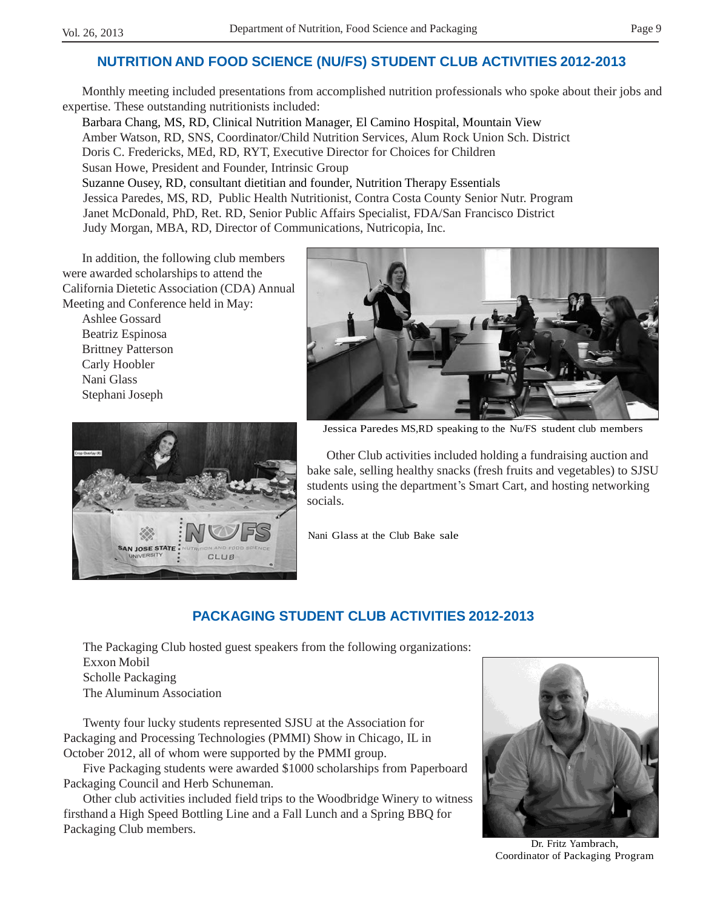# **NUTRITION AND FOOD SCIENCE (NU/FS) STUDENT CLUB ACTIVITIES 2012-2013**

Monthly meeting included presentations from accomplished nutrition professionals who spoke about their jobs and expertise. These outstanding nutritionists included:

Barbara Chang, MS, RD, Clinical Nutrition Manager, El Camino Hospital, Mountain View Amber Watson, RD, SNS, Coordinator/Child Nutrition Services, Alum Rock Union Sch. District Doris C. Fredericks, MEd, RD, RYT, Executive Director for Choices for Children Susan Howe, President and Founder, Intrinsic Group Suzanne Ousey, RD, consultant dietitian and founder, Nutrition Therapy Essentials Jessica Paredes, MS, RD, Public Health Nutritionist, Contra Costa County Senior Nutr. Program Janet McDonald, PhD, Ret. RD, Senior Public Affairs Specialist, FDA/San Francisco District Judy Morgan, MBA, RD, Director of Communications, Nutricopia, Inc.

In addition, the following club members were awarded scholarships to attend the California Dietetic Association (CDA) Annual Meeting and Conference held in May:

Ashlee Gossard Beatriz Espinosa Brittney Patterson Carly Hoobler Nani Glass Stephani Joseph





Jessica Paredes MS,RD speaking to the Nu/FS student club members

Other Club activities included holding a fundraising auction and bake sale, selling healthy snacks (fresh fruits and vegetables) to SJSU students using the department's Smart Cart, and hosting networking socials.

Nani Glass at the Club Bake sale

# **PACKAGING STUDENT CLUB ACTIVITIES 2012-2013**

The Packaging Club hosted guest speakers from the following organizations: Exxon Mobil Scholle Packaging The Aluminum Association

Twenty four lucky students represented SJSU at the Association for Packaging and Processing Technologies (PMMI) Show in Chicago, IL in October 2012, all of whom were supported by the PMMI group.

Five Packaging students were awarded \$1000 scholarships from Paperboard Packaging Council and Herb Schuneman.

Other club activities included field trips to the Woodbridge Winery to witness firsthand a High Speed Bottling Line and a Fall Lunch and a Spring BBQ for Packaging Club members.



Dr. Fritz Yambrach, Coordinator of Packaging Program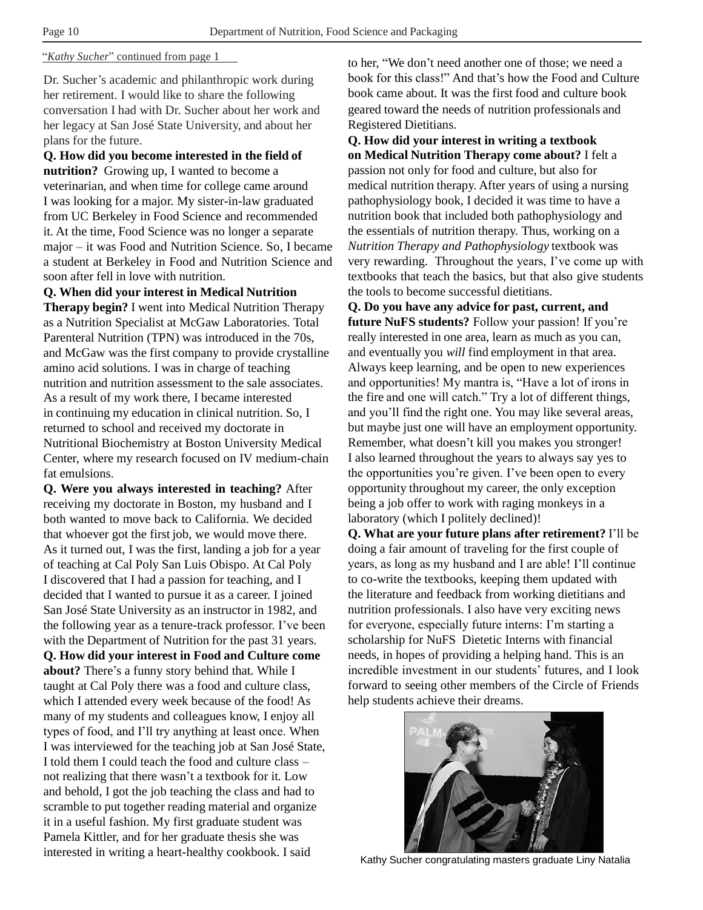#### "*Kathy Sucher*" continued from page 1

Dr. Sucher's academic and philanthropic work during her retirement. I would like to share the following conversation I had with Dr. Sucher about her work and her legacy at San José State University, and about her plans for the future.

**Q. How did you become interested in the field of nutrition?** Growing up, I wanted to become a veterinarian, and when time for college came around I was looking for a major. My sister-in-law graduated from UC Berkeley in Food Science and recommended it. At the time, Food Science was no longer a separate major – it was Food and Nutrition Science. So, I became a student at Berkeley in Food and Nutrition Science and soon after fell in love with nutrition.

**Q. When did your interest in Medical Nutrition Therapy begin?** I went into Medical Nutrition Therapy as a Nutrition Specialist at McGaw Laboratories. Total Parenteral Nutrition (TPN) was introduced in the 70s, and McGaw was the first company to provide crystalline amino acid solutions. I was in charge of teaching nutrition and nutrition assessment to the sale associates. As a result of my work there, I became interested in continuing my education in clinical nutrition. So, I returned to school and received my doctorate in Nutritional Biochemistry at Boston University Medical Center, where my research focused on IV medium-chain fat emulsions.

**Q. Were you always interested in teaching?** After receiving my doctorate in Boston, my husband and I both wanted to move back to California. We decided that whoever got the first job, we would move there. As it turned out, I was the first, landing a job for a year of teaching at Cal Poly San Luis Obispo. At Cal Poly I discovered that I had a passion for teaching, and I decided that I wanted to pursue it as a career. I joined San José State University as an instructor in 1982, and the following year as a tenure-track professor. I've been with the Department of Nutrition for the past 31 years. **Q. How did your interest in Food and Culture come about?** There's a funny story behind that. While I taught at Cal Poly there was a food and culture class, which I attended every week because of the food! As many of my students and colleagues know, I enjoy all types of food, and I'll try anything at least once. When I was interviewed for the teaching job at San José State, I told them I could teach the food and culture class – not realizing that there wasn't a textbook for it. Low and behold, I got the job teaching the class and had to scramble to put together reading material and organize it in a useful fashion. My first graduate student was Pamela Kittler, and for her graduate thesis she was interested in writing a heart-healthy cookbook. I said

to her, "We don't need another one of those; we need a book for this class!" And that's how the Food and Culture book came about. It was the first food and culture book geared toward the needs of nutrition professionals and Registered Dietitians.

**Q. How did your interest in writing a textbook on Medical Nutrition Therapy come about?** I felt a passion not only for food and culture, but also for medical nutrition therapy. After years of using a nursing pathophysiology book, I decided it was time to have a nutrition book that included both pathophysiology and the essentials of nutrition therapy. Thus, working on a *Nutrition Therapy and Pathophysiology* textbook was very rewarding. Throughout the years, I've come up with textbooks that teach the basics, but that also give students the tools to become successful dietitians.

**Q. Do you have any advice for past, current, and future NuFS students?** Follow your passion! If you're really interested in one area, learn as much as you can, and eventually you *will* find employment in that area. Always keep learning, and be open to new experiences and opportunities! My mantra is, "Have a lot of irons in the fire and one will catch." Try a lot of different things, and you'll find the right one. You may like several areas, but maybe just one will have an employment opportunity. Remember, what doesn't kill you makes you stronger! I also learned throughout the years to always say yes to the opportunities you're given. I've been open to every opportunity throughout my career, the only exception being a job offer to work with raging monkeys in a laboratory (which I politely declined)!

**Q. What are your future plans after retirement?** I'll be doing a fair amount of traveling for the first couple of years, as long as my husband and I are able! I'll continue to co-write the textbooks, keeping them updated with the literature and feedback from working dietitians and nutrition professionals. I also have very exciting news for everyone, especially future interns: I'm starting a scholarship for NuFS Dietetic Interns with financial needs, in hopes of providing a helping hand. This is an incredible investment in our students' futures, and I look forward to seeing other members of the Circle of Friends help students achieve their dreams.



Kathy Sucher congratulating masters graduate Liny Natalia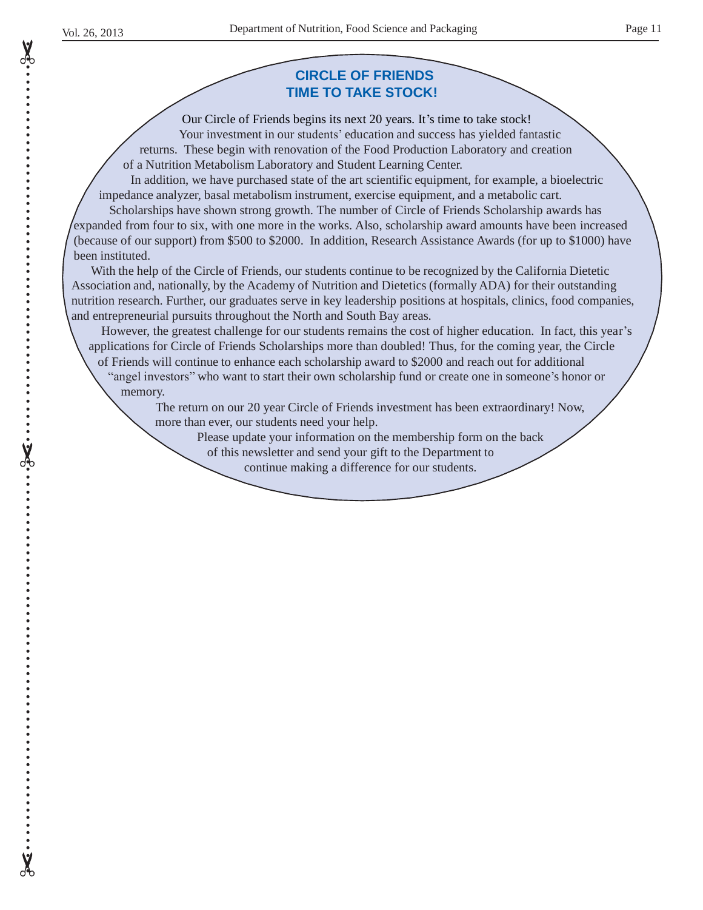• • • • • • • • • • • • • • • • • • • • • • • • • • • • • • • • • • • • • • • • • • • • • • • • • • • • • • • • • • • • • • • • • • • • • • • • • • • • • • • • • • • • • • • • • • • • • • • • • • • • • • • • • • • • • •

# **CIRCLE OF FRIENDS TIME TO TAKE STOCK!**

Our Circle of Friends begins its next 20 years. It's time to take stock! Your investment in our students' education and success has yielded fantastic returns. These begin with renovation of the Food Production Laboratory and creation of a Nutrition Metabolism Laboratory and Student Learning Center.

In addition, we have purchased state of the art scientific equipment, for example, a bioelectric impedance analyzer, basal metabolism instrument, exercise equipment, and a metabolic cart.

Scholarships have shown strong growth. The number of Circle of Friends Scholarship awards has expanded from four to six, with one more in the works. Also, scholarship award amounts have been increased (because of our support) from \$500 to \$2000. In addition, Research Assistance Awards (for up to \$1000) have been instituted.

With the help of the Circle of Friends, our students continue to be recognized by the California Dietetic Association and, nationally, by the Academy of Nutrition and Dietetics (formally ADA) for their outstanding nutrition research. Further, our graduates serve in key leadership positions at hospitals, clinics, food companies, and entrepreneurial pursuits throughout the North and South Bay areas.

However, the greatest challenge for our students remains the cost of higher education. In fact, this year's applications for Circle of Friends Scholarships more than doubled! Thus, for the coming year, the Circle

of Friends will continue to enhance each scholarship award to \$2000 and reach out for additional "angel investors" who want to start their own scholarship fund or create one in someone's honor or memory.

The return on our 20 year Circle of Friends investment has been extraordinary! Now, more than ever, our students need your help.

Please update your information on the membership form on the back

of this newsletter and send your gift to the Department to

continue making a difference for our students.